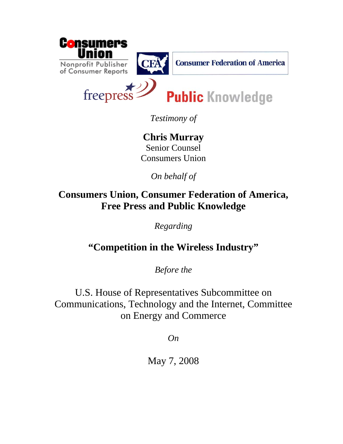



**Consumer Federation of America** 

freepres

**Public Knowledge** 

*Testimony of* 

**Chris Murray**  Senior Counsel Consumers Union

*On behalf of* 

**Consumers Union, Consumer Federation of America, Free Press and Public Knowledge**

*Regarding* 

**"Competition in the Wireless Industry"**

*Before the* 

U.S. House of Representatives Subcommittee on Communications, Technology and the Internet, Committee on Energy and Commerce

*On* 

May 7, 2008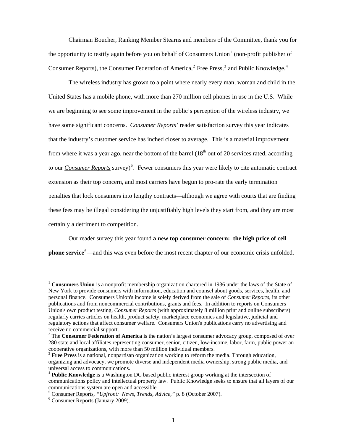Chairman Boucher, Ranking Member Stearns and members of the Committee, thank you for the opportunity to testify again before you on behalf of Consumers Union<sup>[1](#page-1-0)</sup> (non-profit publisher of Consumer Reports), the Consumer Federation of America, $2$  Free Press,  $3$  and Public Knowledge.<sup>[4](#page-1-3)</sup>

The wireless industry has grown to a point where nearly every man, woman and child in the United States has a mobile phone, with more than 270 million cell phones in use in the U.S. While we are beginning to see some improvement in the public's perception of the wireless industry, we have some significant concerns. *Consumer Reports'* reader satisfaction survey this year indicates that the industry's customer service has inched closer to average. This is a material improvement from where it was a year ago, near the bottom of the barrel  $(18<sup>th</sup>$  out of 20 services rated, according to our *Consumer Reports* survey)<sup>[5](#page-1-4)</sup>. Fewer consumers this year were likely to cite automatic contract extension as their top concern, and most carriers have begun to pro-rate the early termination penalties that lock consumers into lengthy contracts—although we agree with courts that are finding these fees may be illegal considering the unjustifiably high levels they start from, and they are most certainly a detriment to competition.

Our reader survey this year found **a new top consumer concern: the high price of cell phone service**<sup>[6](#page-1-5)</sup>—and this was even before the most recent chapter of our economic crisis unfolded.

<span id="page-1-0"></span><sup>1</sup> **Consumers Union** is a nonprofit membership organization chartered in 1936 under the laws of the State of New York to provide consumers with information, education and counsel about goods, services, health, and personal finance. Consumers Union's income is solely derived from the sale of *Consumer Reports*, its other publications and from noncommercial contributions, grants and fees. In addition to reports on Consumers Union's own product testing, *Consumer Reports* (with approximately 8 million print and online subscribers) regularly carries articles on health, product safety, marketplace economics and legislative, judicial and regulatory actions that affect consumer welfare. Consumers Union's publications carry no advertising and receive no commercial support.

<span id="page-1-1"></span><sup>&</sup>lt;sup>2</sup> The **Consumer Federation of America** is the nation's largest consumer advocacy group, composed of over 280 state and local affiliates representing consumer, senior, citizen, low-income, labor, farm, public power an cooperative organizations, with more than 50 million individual members.

<span id="page-1-2"></span><sup>3</sup> **Free Press** is a national, nonpartisan organization working to reform the media. Through education, organizing and advocacy, we promote diverse and independent media ownership, strong public media, and universal access to communications.

<span id="page-1-3"></span><sup>4</sup> **Public Knowledge** is a Washington DC based public interest group working at the intersection of communications policy and intellectual property law. Public Knowledge seeks to ensure that all layers of our communications system are open and accessible.

<sup>5</sup> Consumer Reports, "Upfront: News, Trends, Advice," p. 8 (October 2007).

<span id="page-1-5"></span><span id="page-1-4"></span><sup>&</sup>lt;sup>6</sup> Consumer Reports (January 2009).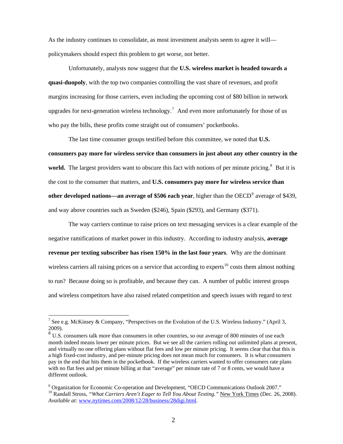As the industry continues to consolidate, as most investment analysts seem to agree it will policymakers should expect this problem to get worse, not better.

Unfortunately, analysts now suggest that the **U.S. wireless market is headed towards a quasi-duopoly**, with the top two companies controlling the vast share of revenues, and profit margins increasing for those carriers, even including the upcoming cost of \$80 billion in network upgrades for next-generation wireless technology.<sup>[7](#page-2-0)</sup> And even more unfortunately for those of us who pay the bills, these profits come straight out of consumers' pocketbooks.

The last time consumer groups testified before this committee, we noted that **U.S. consumers pay more for wireless service than consumers in just about any other country in the**  world. The largest providers want to obscure this fact with notions of per minute pricing.<sup>[8](#page-2-1)</sup> But it is the cost to the consumer that matters, and **U.S. consumers pay more for wireless service than**  other developed nations—an average of \$506 each year, higher than the OECD<sup>[9](#page-2-2)</sup> average of \$439, and way above countries such as Sweden (\$246), Spain (\$293), and Germany (\$371).

The way carriers continue to raise prices on text messaging services is a clear example of the negative ramifications of market power in this industry. According to industry analysis, **average revenue per texting subscriber has risen 150% in the last four years**. Why are the dominant wireless carriers all raising prices on a service that according to experts<sup>[10](#page-2-3)</sup> costs them almost nothing to run? Because doing so is profitable, and because they can. A number of public interest groups and wireless competitors have also raised related competition and speech issues with regard to text

<span id="page-2-0"></span><sup>&</sup>lt;sup>7</sup> See e.g. McKinsey & Company, "Perspectives on the Evolution of the U.S. Wireless Industry." (April 3, 2009).

<span id="page-2-1"></span><sup>8</sup> U.S. consumers talk more than consumers in other countries, so our average of 800 minutes of use each month indeed means lower per minute prices. But we see all the carriers rolling out unlimited plans at present, and virtually no one offering plans without flat fees and low per minute pricing. It seems clear that that this is a high fixed-cost industry, and per-minute pricing does not mean much for consumers. It is what consumers pay in the end that hits them in the pocketbook. If the wireless carriers wanted to offer consumers rate plans with no flat fees and per minute billing at that "average" per minute rate of 7 or 8 cents, we would have a different outlook.

<span id="page-2-3"></span><span id="page-2-2"></span><sup>&</sup>lt;sup>9</sup> Organization for Economic Co-operation and Development, "OECD Communications Outlook 2007." <sup>10</sup> Randall Stross, "What Carriers Aren't Eager to Tell You About Texting." New York Times (Dec. 26, 2008). *Available at:* [www.nytimes.com/2008/12/28/business/28digi.html.](http://www.nytimes.com/2008/12/28/business/28digi.html)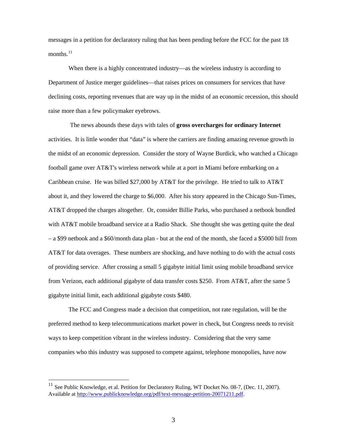messages in a petition for declaratory ruling that has been pending before the FCC for the past 18 months. $^{11}$  $^{11}$  $^{11}$ 

When there is a highly concentrated industry—as the wireless industry is according to Department of Justice merger guidelines—that raises prices on consumers for services that have declining costs, reporting revenues that are way up in the midst of an economic recession, this should raise more than a few policymaker eyebrows.

 The news abounds these days with tales of **gross overcharges for ordinary Internet** activities. It is little wonder that "data" is where the carriers are finding amazing revenue growth in the midst of an economic depression. Consider the story of Wayne Burdick, who watched a Chicago football game over AT&T's wireless network while at a port in Miami before embarking on a Caribbean cruise. He was billed \$27,000 by AT&T for the privilege. He tried to talk to AT&T about it, and they lowered the charge to \$6,000. After his story appeared in the Chicago Sun-Times, AT&T dropped the charges altogether. Or, consider Billie Parks, who purchased a netbook bundled with AT&T mobile broadband service at a Radio Shack. She thought she was getting quite the deal – a \$99 netbook and a \$60/month data plan - but at the end of the month, she faced a \$5000 bill from AT&T for data overages. These numbers are shocking, and have nothing to do with the actual costs of providing service. After crossing a small 5 gigabyte initial limit using mobile broadband service from Verizon, each additional gigabyte of data transfer costs \$250. From AT&T, after the same 5 gigabyte initial limit, each additional gigabyte costs \$480.

The FCC and Congress made a decision that competition, not rate regulation, will be the preferred method to keep telecommunications market power in check, but Congress needs to revisit ways to keep competition vibrant in the wireless industry. Considering that the very same companies who this industry was supposed to compete against, telephone monopolies, have now

<span id="page-3-0"></span>See Public Knowledge, et al. Petition for Declaratory Ruling, WT Docket No. 08-7, (Dec. 11, 2007). Available at<http://www.publicknowledge.org/pdf/text-message-petition-20071211.pdf>.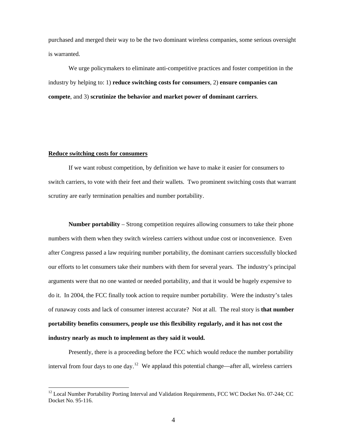purchased and merged their way to be the two dominant wireless companies, some serious oversight is warranted.

We urge policymakers to eliminate anti-competitive practices and foster competition in the industry by helping to: 1) **reduce switching costs for consumers**, 2) **ensure companies can compete**, and 3) **scrutinize the behavior and market power of dominant carriers**.

## **Reduce switching costs for consumers**

 $\overline{a}$ 

If we want robust competition, by definition we have to make it easier for consumers to switch carriers, to vote with their feet and their wallets. Two prominent switching costs that warrant scrutiny are early termination penalties and number portability.

**Number portability** – Strong competition requires allowing consumers to take their phone numbers with them when they switch wireless carriers without undue cost or inconvenience. Even after Congress passed a law requiring number portability, the dominant carriers successfully blocked our efforts to let consumers take their numbers with them for several years. The industry's principal arguments were that no one wanted or needed portability, and that it would be hugely expensive to do it. In 2004, the FCC finally took action to require number portability. Were the industry's tales of runaway costs and lack of consumer interest accurate? Not at all. The real story is **that number portability benefits consumers, people use this flexibility regularly, and it has not cost the industry nearly as much to implement as they said it would.** 

Presently, there is a proceeding before the FCC which would reduce the number portability interval from four days to one day.<sup>[12](#page-4-0)</sup> We applaud this potential change—after all, wireless carriers

<span id="page-4-0"></span><sup>&</sup>lt;sup>12</sup> Local Number Portability Porting Interval and Validation Requirements, FCC WC Docket No. 07-244; CC Docket No. 95-116.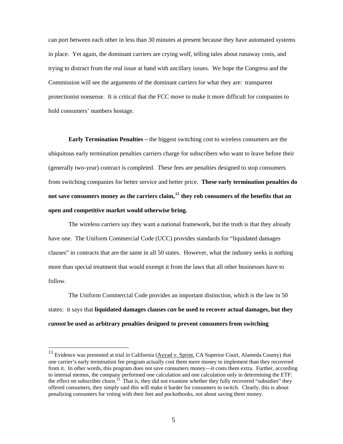can port between each other in less than 30 minutes at present because they have automated systems in place. Yet again, the dominant carriers are crying wolf, telling tales about runaway costs, and trying to distract from the real issue at hand with ancillary issues. We hope the Congress and the Commission will see the arguments of the dominant carriers for what they are: transparent protectionist nonsense. It is critical that the FCC move to make it more difficult for companies to hold consumers' numbers hostage.

**Early Termination Penalties –** the biggest switching cost to wireless consumers are the ubiquitous early termination penalties carriers charge for subscribers who want to leave before their (generally two-year) contract is completed. These fees are penalties designed to stop consumers from switching companies for better service and better price. **These early termination penalties do not save consumers money as the carriers claim,[13](#page-5-0) they rob consumers of the benefits that an open and competitive market would otherwise bring.** 

The wireless carriers say they want a national framework, but the truth is that they already have one. The Uniform Commercial Code (UCC) provides standards for "liquidated damages clauses" in contracts that are the same in all 50 states. However, what the industry seeks is nothing more than special treatment that would exempt it from the laws that all other businesses have to follow.

The Uniform Commercial Code provides an important distinction, which is the law in 50 states: it says that **liquidated damages clauses** *can* **be used to recover actual damages, but they** *cannot* **be used as arbitrary penalties designed to prevent consumers from switching** 

<span id="page-5-0"></span> $13$  Evidence was presented at trial in California ( $\Delta$ yyad v. Sprint, CA Superior Court, Alameda County) that one carrier's early termination fee program actually cost them more money to implement than they recovered from it. In other words, this program does not save consumers money—it costs them extra. Further, according to internal memos, the company performed one calculation and one calculation only in determining the ETF: the effect on subscriber churn.<sup>13</sup> That is, they did not examine whether they fully recovered "subsidies" they offered consumers, they simply said this will make it harder for consumers to switch. Clearly, this is about penalizing consumers for voting with their feet and pocketbooks, not about saving them money.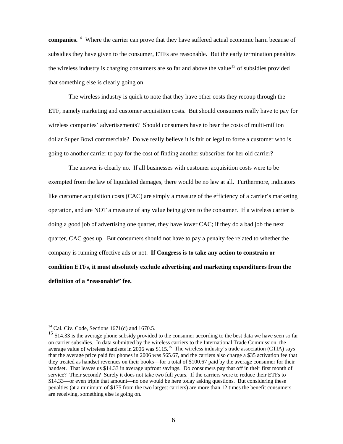**companies.**[14](#page-6-0) Where the carrier can prove that they have suffered actual economic harm because of subsidies they have given to the consumer, ETFs are reasonable. But the early termination penalties the wireless industry is charging consumers are so far and above the value<sup>[15](#page-6-1)</sup> of subsidies provided that something else is clearly going on.

The wireless industry is quick to note that they have other costs they recoup through the ETF, namely marketing and customer acquisition costs. But should consumers really have to pay for wireless companies' advertisements? Should consumers have to bear the costs of multi-million dollar Super Bowl commercials? Do we really believe it is fair or legal to force a customer who is going to another carrier to pay for the cost of finding another subscriber for her old carrier?

The answer is clearly no. If all businesses with customer acquisition costs were to be exempted from the law of liquidated damages, there would be no law at all. Furthermore, indicators like customer acquisition costs (CAC) are simply a measure of the efficiency of a carrier's marketing operation, and are NOT a measure of any value being given to the consumer. If a wireless carrier is doing a good job of advertising one quarter, they have lower CAC; if they do a bad job the next quarter, CAC goes up. But consumers should not have to pay a penalty fee related to whether the company is running effective ads or not. **If Congress is to take any action to constrain or condition ETFs, it must absolutely exclude advertising and marketing expenditures from the definition of a "reasonable" fee.** 

<span id="page-6-0"></span> $14$  Cal. Civ. Code, Sections 1671(d) and 1670.5.

<span id="page-6-1"></span><sup>&</sup>lt;sup>15</sup> \$14.33 is the average phone subsidy provided to the consumer according to the best data we have seen so far on carrier subsidies. In data submitted by the wireless carriers to the International Trade Commission, the average value of wireless handsets in 2006 was \$115.<sup>15</sup> The wireless industry's trade association (CTIA) says that the average price paid for phones in 2006 was \$65.67, and the carriers also charge a \$35 activation fee that they treated as handset revenues on their books—for a total of \$100.67 paid by the average consumer for their handset. That leaves us \$14.33 in average upfront savings. Do consumers pay that off in their first month of service? Their second? Surely it does not take two full years. If the carriers were to reduce their ETFs to \$14.33—or even triple that amount—no one would be here today asking questions. But considering these penalties (at a minimum of \$175 from the two largest carriers) are more than 12 times the benefit consumers are receiving, something else is going on.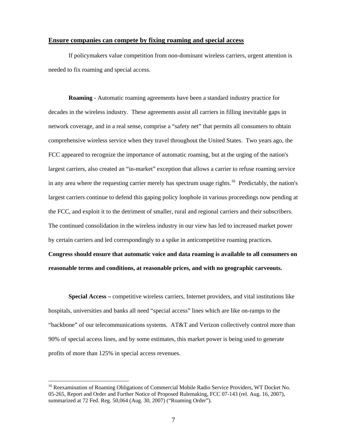## **Ensure companies can compete by fixing roaming and special access**

If policymakers value competition from non-dominant wireless carriers, urgent attention is needed to fix roaming and special access.

**Roaming** - Automatic roaming agreements have been a standard industry practice for decades in the wireless industry. These agreements assist all carriers in filling inevitable gaps in network coverage, and in a real sense, comprise a "safety net" that permits all consumers to obtain comprehensive wireless service when they travel throughout the United States. Two years ago, the FCC appeared to recognize the importance of automatic roaming, but at the urging of the nation's largest carriers, also created an "in-market" exception that allows a carrier to refuse roaming service in any area where the requesting carrier merely has spectrum usage rights.<sup>[16](#page-7-0)</sup> Predictably, the nation's largest carriers continue to defend this gaping policy loophole in various proceedings now pending at the FCC, and exploit it to the detriment of smaller, rural and regional carriers and their subscribers. The continued consolidation in the wireless industry in our view has led to increased market power by certain carriers and led correspondingly to a spike in anticompetitive roaming practices.

**Congress should ensure that automatic voice and data roaming is available to all consumers on reasonable terms and conditions, at reasonable prices, and with no geographic carveouts.**

**Special Access –** competitive wireless carriers, Internet providers, and vital institutions like hospitals, universities and banks all need "special access" lines which are like on-ramps to the "backbone" of our telecommunications systems. AT&T and Verizon collectively control more than 90% of special access lines, and by some estimates, this market power is being used to generate profits of more than 125% in special access revenues.

<span id="page-7-0"></span><sup>&</sup>lt;sup>16</sup> Reexamination of Roaming Obligations of Commercial Mobile Radio Service Providers, WT Docket No. 05-265, Report and Order and Further Notice of Proposed Rulemaking, FCC 07-143 (rel. Aug. 16, 2007), summarized at 72 Fed. Reg. 50,064 (Aug. 30, 2007) ("Roaming Order").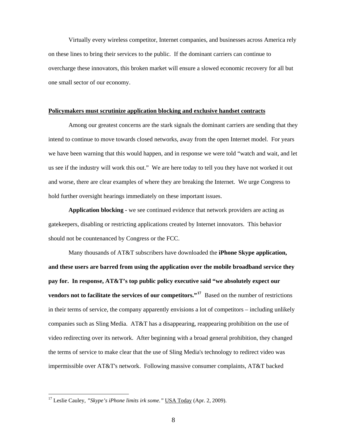Virtually every wireless competitor, Internet companies, and businesses across America rely on these lines to bring their services to the public. If the dominant carriers can continue to overcharge these innovators, this broken market will ensure a slowed economic recovery for all but one small sector of our economy.

## **Policymakers must scrutinize application blocking and exclusive handset contracts**

Among our greatest concerns are the stark signals the dominant carriers are sending that they intend to continue to move towards closed networks, away from the open Internet model. For years we have been warning that this would happen, and in response we were told "watch and wait, and let us see if the industry will work this out." We are here today to tell you they have not worked it out and worse, there are clear examples of where they are breaking the Internet. We urge Congress to hold further oversight hearings immediately on these important issues.

**Application blocking -** we see continued evidence that network providers are acting as gatekeepers, disabling or restricting applications created by Internet innovators. This behavior should not be countenanced by Congress or the FCC.

Many thousands of AT&T subscribers have downloaded the **iPhone Skype application, and these users are barred from using the application over the mobile broadband service they pay for. In response, AT&T's top public policy executive said "we absolutely expect our vendors not to facilitate the services of our competitors."<sup>[17](#page-8-0)</sup> Based on the number of restrictions** in their terms of service, the company apparently envisions a lot of competitors – including unlikely companies such as Sling Media. AT&T has a disappearing, reappearing prohibition on the use of video redirecting over its network. After beginning with a broad general prohibition, they changed the terms of service to make clear that the use of Sling Media's technology to redirect video was impermissible over AT&T's network. Following massive consumer complaints, AT&T backed

<span id="page-8-0"></span><sup>&</sup>lt;sup>17</sup> Leslie Cauley, "Skype's iPhone limits irk some." USA Today (Apr. 2, 2009).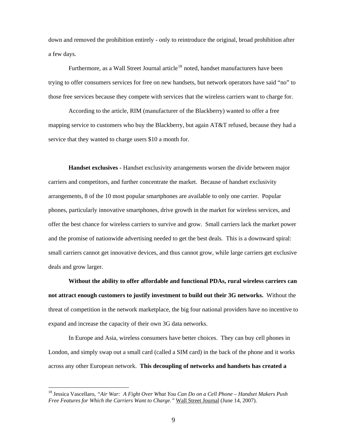down and removed the prohibition entirely - only to reintroduce the original, broad prohibition after a few days.

Furthermore, as a Wall Street Journal article<sup>[18](#page-9-0)</sup> noted, handset manufacturers have been trying to offer consumers services for free on new handsets, but network operators have said "no" to those free services because they compete with services that the wireless carriers want to charge for.

According to the article, RIM (manufacturer of the Blackberry) wanted to offer a free mapping service to customers who buy the Blackberry, but again AT&T refused, because they had a service that they wanted to charge users \$10 a month for.

**Handset exclusives -** Handset exclusivity arrangements worsen the divide between major carriers and competitors, and further concentrate the market. Because of handset exclusivity arrangements, 8 of the 10 most popular smartphones are available to only one carrier. Popular phones, particularly innovative smartphones, drive growth in the market for wireless services, and offer the best chance for wireless carriers to survive and grow. Small carriers lack the market power and the promise of nationwide advertising needed to get the best deals. This is a downward spiral: small carriers cannot get innovative devices, and thus cannot grow, while large carriers get exclusive deals and grow larger.

**Without the ability to offer affordable and functional PDAs, rural wireless carriers can not attract enough customers to justify investment to build out their 3G networks.** Without the threat of competition in the network marketplace, the big four national providers have no incentive to expand and increase the capacity of their own 3G data networks.

In Europe and Asia, wireless consumers have better choices. They can buy cell phones in London, and simply swap out a small card (called a SIM card) in the back of the phone and it works across any other European network. **This decoupling of networks and handsets has created a** 

<span id="page-9-0"></span><sup>18</sup> Jessica Vascellaro, *"Air War: A Fight Over What You Can Do on a Cell Phone – Handset Makers Push Free Features for Which the Carriers Want to Charge."* Wall Street Journal (June 14, 2007).